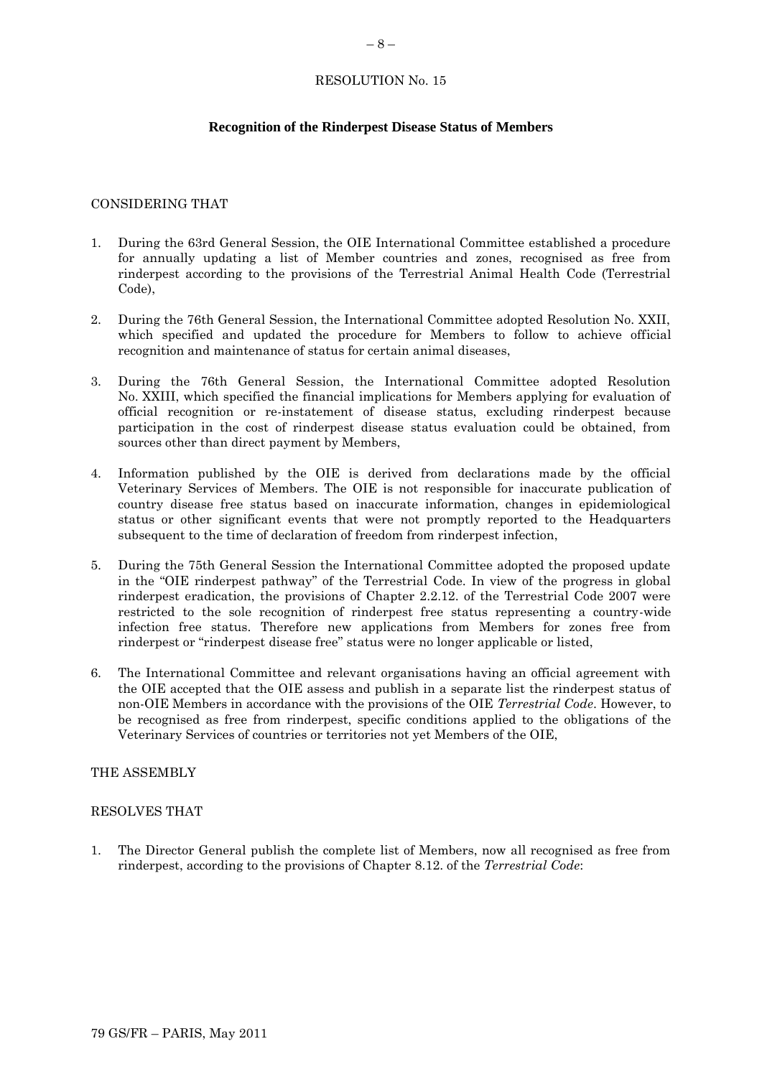#### RESOLUTION No. 15

# **Recognition of the Rinderpest Disease Status of Members**

### CONSIDERING THAT

- 1. During the 63rd General Session, the OIE International Committee established a procedure for annually updating a list of Member countries and zones, recognised as free from rinderpest according to the provisions of the Terrestrial Animal Health Code (Terrestrial Code),
- 2. During the 76th General Session, the International Committee adopted Resolution No. XXII, which specified and updated the procedure for Members to follow to achieve official recognition and maintenance of status for certain animal diseases,
- 3. During the 76th General Session, the International Committee adopted Resolution No. XXIII, which specified the financial implications for Members applying for evaluation of official recognition or re-instatement of disease status, excluding rinderpest because participation in the cost of rinderpest disease status evaluation could be obtained, from sources other than direct payment by Members,
- 4. Information published by the OIE is derived from declarations made by the official Veterinary Services of Members. The OIE is not responsible for inaccurate publication of country disease free status based on inaccurate information, changes in epidemiological status or other significant events that were not promptly reported to the Headquarters subsequent to the time of declaration of freedom from rinderpest infection,
- 5. During the 75th General Session the International Committee adopted the proposed update in the "OIE rinderpest pathway" of the Terrestrial Code. In view of the progress in global rinderpest eradication, the provisions of Chapter 2.2.12. of the Terrestrial Code 2007 were restricted to the sole recognition of rinderpest free status representing a country-wide infection free status. Therefore new applications from Members for zones free from rinderpest or "rinderpest disease free" status were no longer applicable or listed,
- 6. The International Committee and relevant organisations having an official agreement with the OIE accepted that the OIE assess and publish in a separate list the rinderpest status of non-OIE Members in accordance with the provisions of the OIE *Terrestrial Code*. However, to be recognised as free from rinderpest, specific conditions applied to the obligations of the Veterinary Services of countries or territories not yet Members of the OIE,

#### THE ASSEMBLY

#### RESOLVES THAT

1. The Director General publish the complete list of Members, now all recognised as free from rinderpest, according to the provisions of Chapter 8.12. of the *Terrestrial Code*: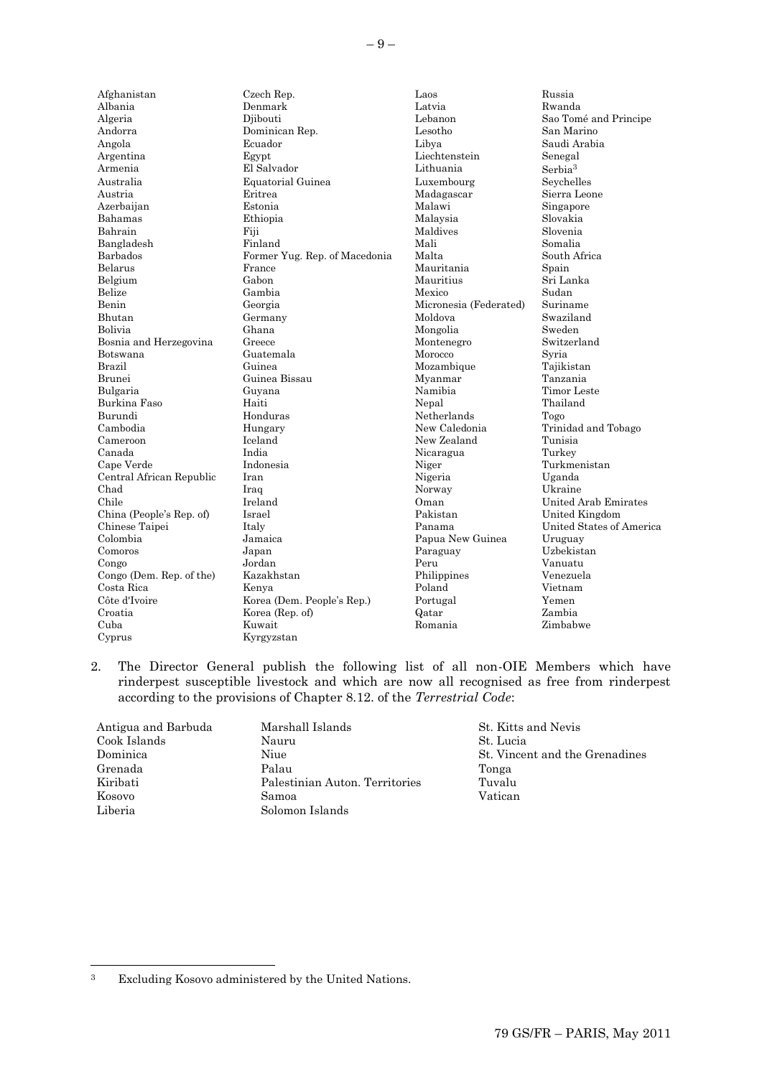| Afghanistan              | Czech Rep.                    | Laos                   | Russia                   |
|--------------------------|-------------------------------|------------------------|--------------------------|
| Albania                  | Denmark                       | Latvia                 | Rwanda                   |
| Algeria                  | Diibouti                      | Lebanon                | Sao Tomé and Principe    |
| Andorra                  | Dominican Rep.                | Lesotho                | San Marino               |
| Angola                   | Ecuador                       | Libya                  | Saudi Arabia             |
| Argentina                | Egypt                         | Liechtenstein          | Senegal                  |
| Armenia                  | El Salvador                   | Lithuania              | Serbia <sup>3</sup>      |
|                          |                               |                        |                          |
| Australia                | Equatorial Guinea             | Luxembourg             | Seychelles               |
| Austria                  | Eritrea                       | Madagascar             | Sierra Leone             |
| Azerbaijan               | Estonia                       | Malawi                 | Singapore                |
| Bahamas                  | Ethiopia                      | Malaysia               | Slovakia                 |
| Bahrain                  | Fiji                          | Maldives               | Slovenia                 |
| Bangladesh               | Finland                       | Mali                   | Somalia                  |
| Barbados                 | Former Yug. Rep. of Macedonia | Malta                  | South Africa             |
| <b>Belarus</b>           | France                        | Mauritania             | Spain                    |
| Belgium                  | Gabon                         | Mauritius              | Sri Lanka                |
| Belize                   | Gambia                        | Mexico                 | Sudan                    |
| Benin                    | Georgia                       | Micronesia (Federated) | Suriname                 |
| Bhutan                   | Germany                       | Moldova                | Swaziland                |
| Bolivia                  | Ghana                         | Mongolia               | Sweden                   |
| Bosnia and Herzegovina   | Greece                        | Montenegro             | Switzerland              |
| Botswana                 | Guatemala                     | Morocco                | Syria                    |
| Brazil                   | Guinea                        | Mozambique             | Tajikistan               |
| Brunei                   | Guinea Bissau                 | Myanmar                | Tanzania                 |
| Bulgaria                 | Guyana                        | Namibia                | Timor Leste              |
| Burkina Faso             | Haiti                         | Nepal                  | Thailand                 |
| Burundi                  | Honduras                      | Netherlands            | Togo                     |
| Cambodia                 | Hungary                       | New Caledonia          | Trinidad and Tobago      |
| Cameroon                 | Iceland                       | New Zealand            | Tunisia                  |
| Canada                   | India                         | Nicaragua              | Turkey                   |
| Cape Verde               | Indonesia                     | Niger                  | Turkmenistan             |
| Central African Republic | Iran                          | Nigeria                | Uganda                   |
| Chad                     | Iraq                          | Norway                 | Ukraine                  |
| Chile                    | Ireland                       | Oman                   | United Arab Emirates     |
| China (People's Rep. of) | Israel                        | Pakistan               | United Kingdom           |
| Chinese Taipei           | Italy                         | Panama                 | United States of America |
| Colombia                 | Jamaica                       | Papua New Guinea       | Uruguay                  |
| Comoros                  | Japan                         | Paraguay               | Uzbekistan               |
| Congo                    | Jordan                        | Peru                   | Vanuatu                  |
| Congo (Dem. Rep. of the) | Kazakhstan                    | Philippines            | Venezuela                |
| Costa Rica               | Kenya                         | Poland                 | Vietnam                  |
| Côte d'Ivoire            | Korea (Dem. People's Rep.)    | Portugal               | Yemen                    |
| Croatia                  | Korea (Rep. of)               | Qatar                  | Zambia                   |
| Cuba                     | Kuwait                        | Romania                | Zimbabwe                 |
| Cyprus                   | Kyrgyzstan                    |                        |                          |
|                          |                               |                        |                          |

2. The Director General publish the following list of all non-OIE Members which have rinderpest susceptible livestock and which are now all recognised as free from rinderpest according to the provisions of Chapter 8.12. of the *Terrestrial Code*:

| Marshall Islands               | St. Kitts and Nevis |
|--------------------------------|---------------------|
| Nauru                          | St. Lucia           |
| Niue                           | St. Vincent and the |
| Palau                          | Tonga               |
| Palestinian Auton. Territories | Tuvalu              |
| Samoa                          | Vatican             |
| Solomon Islands                |                     |
|                                |                     |

St. Lucia St. Vincent and the Grenadines

l

<sup>3</sup> Excluding Kosovo administered by the United Nations.